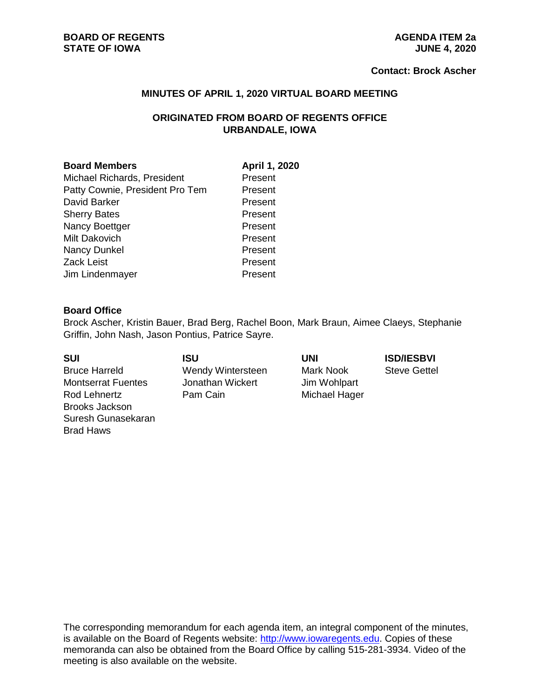#### **BOARD OF REGENTS**<br> **BOARD OF REGENTS**<br> **BOARD OF IOWA**<br> **AGENDA ITEM 2a**<br> **AGENDA ITEM 2a STATE OF IOWA**

#### **Contact: Brock Ascher**

#### **MINUTES OF APRIL 1, 2020 VIRTUAL BOARD MEETING**

# **ORIGINATED FROM BOARD OF REGENTS OFFICE URBANDALE, IOWA**

#### **Board Members April 1, 2020**

Michael Richards, President Present Patty Cownie, President Pro Tem Present David Barker **Present** Sherry Bates **Present** Nancy Boettger **Present** Milt Dakovich **Present** Nancy Dunkel Present Zack Leist **Present** Jim Lindenmayer **Present** 

#### **Board Office**

Brock Ascher, Kristin Bauer, Brad Berg, Rachel Boon, Mark Braun, Aimee Claeys, Stephanie Griffin, John Nash, Jason Pontius, Patrice Sayre.

Bruce Harreld Wendy Wintersteen Mark Nook Steve Gettel Montserrat Fuentes Jonathan Wickert Jim Wohlpart Rod Lehnertz **Pam Cain** Pam Cain Michael Hager Brooks Jackson Suresh Gunasekaran Brad Haws

# **SUI ISU UNI ISD/IESBVI**

The corresponding memorandum for each agenda item, an integral component of the minutes, is available on the Board of Regents website: [http://www.iowaregents.edu.](http://www.iowaregents.edu/) Copies of these memoranda can also be obtained from the Board Office by calling 515-281-3934. Video of the meeting is also available on the website.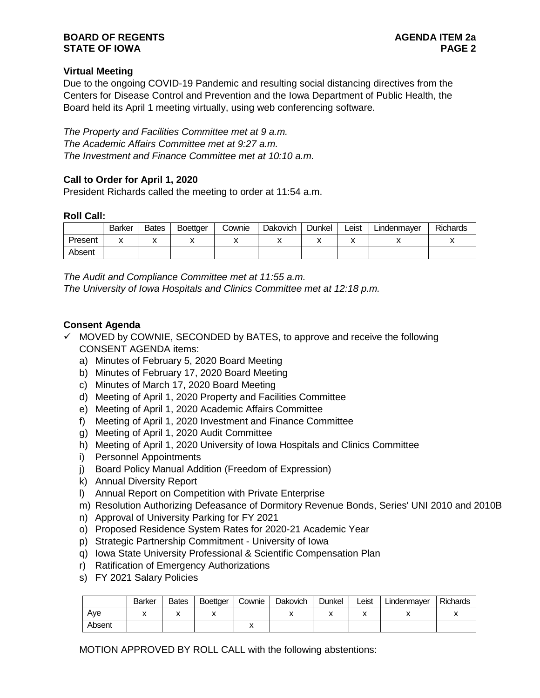#### **BOARD OF REGENTS**<br>STATE OF IOWA **PAGE 2 STATE OF IOWA**

# **Virtual Meeting**

Due to the ongoing COVID-19 Pandemic and resulting social distancing directives from the Centers for Disease Control and Prevention and the Iowa Department of Public Health, the Board held its April 1 meeting virtually, using web conferencing software.

*The Property and Facilities Committee met at 9 a.m. The Academic Affairs Committee met at 9:27 a.m. The Investment and Finance Committee met at 10:10 a.m.*

# **Call to Order for April 1, 2020**

President Richards called the meeting to order at 11:54 a.m.

#### **Roll Call:**

|         | <b>Barker</b>                                | <b>Bates</b>         | <b>Boettger</b> | Cownie | <b>Dakovich</b> | Dunkel | Leist | Lindenmayer | Richards |
|---------|----------------------------------------------|----------------------|-----------------|--------|-----------------|--------|-------|-------------|----------|
| Present | $\ddot{\phantom{a}}$<br>$\ddot{\phantom{0}}$ | $\ddot{\phantom{a}}$ |                 |        |                 | ́      | ́     | ,,          | "        |
| Absent  |                                              |                      |                 |        |                 |        |       |             |          |

*The Audit and Compliance Committee met at 11:55 a.m. The University of Iowa Hospitals and Clinics Committee met at 12:18 p.m.*

#### **Consent Agenda**

- $\checkmark$  MOVED by COWNIE, SECONDED by BATES, to approve and receive the following CONSENT AGENDA items:
	- a) Minutes of February 5, 2020 Board Meeting
	- b) Minutes of February 17, 2020 Board Meeting
	- c) Minutes of March 17, 2020 Board Meeting
	- d) Meeting of April 1, 2020 Property and Facilities Committee
	- e) Meeting of April 1, 2020 Academic Affairs Committee
	- f) Meeting of April 1, 2020 Investment and Finance Committee
	- g) Meeting of April 1, 2020 Audit Committee
	- h) Meeting of April 1, 2020 University of Iowa Hospitals and Clinics Committee
	- i) Personnel Appointments
	- j) Board Policy Manual Addition (Freedom of Expression)
	- k) Annual Diversity Report
	- l) Annual Report on Competition with Private Enterprise
	- m) Resolution Authorizing Defeasance of Dormitory Revenue Bonds, Series' UNI 2010 and 2010B
	- n) Approval of University Parking for FY 2021
	- o) Proposed Residence System Rates for 2020-21 Academic Year
	- p) Strategic Partnership Commitment University of Iowa
	- q) Iowa State University Professional & Scientific Compensation Plan
	- r) Ratification of Emergency Authorizations
	- s) FY 2021 Salary Policies

|        | <b>Barker</b> | <b>Bates</b> | <b>Boettger</b>          | Cownie | Dakovich | Dunkel | Leist | Lindenmayer | <b>Richards</b> |
|--------|---------------|--------------|--------------------------|--------|----------|--------|-------|-------------|-----------------|
| Ave    | ,,            | ,,           | $\overline{\phantom{a}}$ |        |          | ,,     | ↗     | "           |                 |
| Absent |               |              |                          | ↗      |          |        |       |             |                 |

MOTION APPROVED BY ROLL CALL with the following abstentions: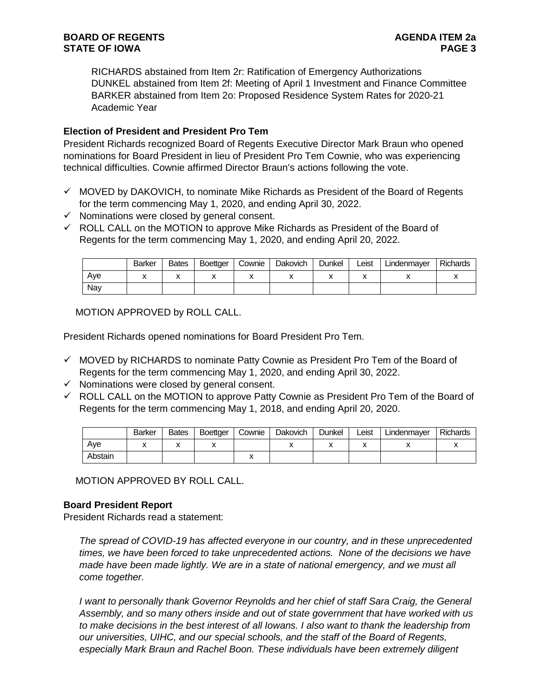RICHARDS abstained from Item 2r: Ratification of Emergency Authorizations DUNKEL abstained from Item 2f: Meeting of April 1 Investment and Finance Committee BARKER abstained from Item 2o: Proposed Residence System Rates for 2020-21 Academic Year

# **Election of President and President Pro Tem**

President Richards recognized Board of Regents Executive Director Mark Braun who opened nominations for Board President in lieu of President Pro Tem Cownie, who was experiencing technical difficulties. Cownie affirmed Director Braun's actions following the vote.

- $\checkmark$  MOVED by DAKOVICH, to nominate Mike Richards as President of the Board of Regents for the term commencing May 1, 2020, and ending April 30, 2022.
- $\checkmark$  Nominations were closed by general consent.
- $\checkmark$  ROLL CALL on the MOTION to approve Mike Richards as President of the Board of Regents for the term commencing May 1, 2020, and ending April 20, 2022.

|     | <b>Barker</b> | <b>Bates</b> | Boettger | Cownie | <b>Dakovich</b> | Dunkel | Leist | Lindenmayer | <b>Richards</b> |
|-----|---------------|--------------|----------|--------|-----------------|--------|-------|-------------|-----------------|
| Ave |               | ́            |          |        |                 |        |       |             |                 |
| Nav |               |              |          |        |                 |        |       |             |                 |

MOTION APPROVED by ROLL CALL.

President Richards opened nominations for Board President Pro Tem.

- $\checkmark$  MOVED by RICHARDS to nominate Patty Cownie as President Pro Tem of the Board of Regents for the term commencing May 1, 2020, and ending April 30, 2022.
- $\checkmark$  Nominations were closed by general consent.
- $\checkmark$  ROLL CALL on the MOTION to approve Patty Cownie as President Pro Tem of the Board of Regents for the term commencing May 1, 2018, and ending April 20, 2020.

|         | <b>Barker</b> | <b>Bates</b> | Boettger | Cownie | Dakovich | Dunkel | Leist | Lindenmaver | <b>Richards</b> |
|---------|---------------|--------------|----------|--------|----------|--------|-------|-------------|-----------------|
| Ave     |               | $\mathbf{v}$ |          |        |          |        |       |             |                 |
| Abstain |               |              |          | ́      |          |        |       |             |                 |

MOTION APPROVED BY ROLL CALL.

## **Board President Report**

President Richards read a statement:

*The spread of COVID-19 has affected everyone in our country, and in these unprecedented times, we have been forced to take unprecedented actions. None of the decisions we have made have been made lightly. We are in a state of national emergency, and we must all come together.*

*I* want to personally thank Governor Reynolds and her chief of staff Sara Craig, the General *Assembly, and so many others inside and out of state government that have worked with us to make decisions in the best interest of all Iowans. I also want to thank the leadership from our universities, UIHC, and our special schools, and the staff of the Board of Regents, especially Mark Braun and Rachel Boon. These individuals have been extremely diligent*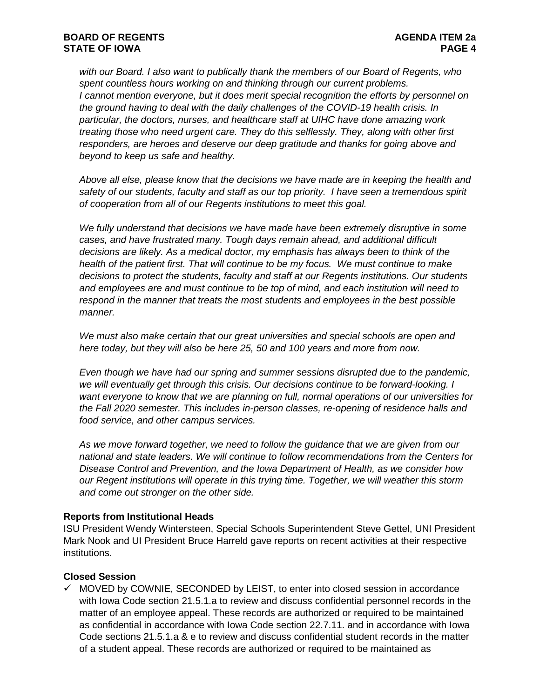*with our Board. I also want to publically thank the members of our Board of Regents, who spent countless hours working on and thinking through our current problems. I* cannot mention everyone, but it does merit special recognition the efforts by personnel on *the ground having to deal with the daily challenges of the COVID-19 health crisis. In particular, the doctors, nurses, and healthcare staff at UIHC have done amazing work treating those who need urgent care. They do this selflessly. They, along with other first responders, are heroes and deserve our deep gratitude and thanks for going above and beyond to keep us safe and healthy.* 

*Above all else, please know that the decisions we have made are in keeping the health and safety of our students, faculty and staff as our top priority. I have seen a tremendous spirit of cooperation from all of our Regents institutions to meet this goal.*

*We fully understand that decisions we have made have been extremely disruptive in some cases, and have frustrated many. Tough days remain ahead, and additional difficult decisions are likely. As a medical doctor, my emphasis has always been to think of the health of the patient first. That will continue to be my focus. We must continue to make decisions to protect the students, faculty and staff at our Regents institutions. Our students and employees are and must continue to be top of mind, and each institution will need to respond in the manner that treats the most students and employees in the best possible manner.*

*We must also make certain that our great universities and special schools are open and here today, but they will also be here 25, 50 and 100 years and more from now.* 

*Even though we have had our spring and summer sessions disrupted due to the pandemic, we will eventually get through this crisis. Our decisions continue to be forward-looking. I want everyone to know that we are planning on full, normal operations of our universities for the Fall 2020 semester. This includes in-person classes, re-opening of residence halls and food service, and other campus services.*

*As we move forward together, we need to follow the guidance that we are given from our national and state leaders. We will continue to follow recommendations from the Centers for Disease Control and Prevention, and the Iowa Department of Health, as we consider how our Regent institutions will operate in this trying time. Together, we will weather this storm and come out stronger on the other side.*

#### **Reports from Institutional Heads**

ISU President Wendy Wintersteen, Special Schools Superintendent Steve Gettel, UNI President Mark Nook and UI President Bruce Harreld gave reports on recent activities at their respective institutions.

## **Closed Session**

 $\checkmark$  MOVED by COWNIE, SECONDED by LEIST, to enter into closed session in accordance with Iowa Code section 21.5.1.a to review and discuss confidential personnel records in the matter of an employee appeal. These records are authorized or required to be maintained as confidential in accordance with Iowa Code section 22.7.11. and in accordance with Iowa Code sections 21.5.1.a & e to review and discuss confidential student records in the matter of a student appeal. These records are authorized or required to be maintained as